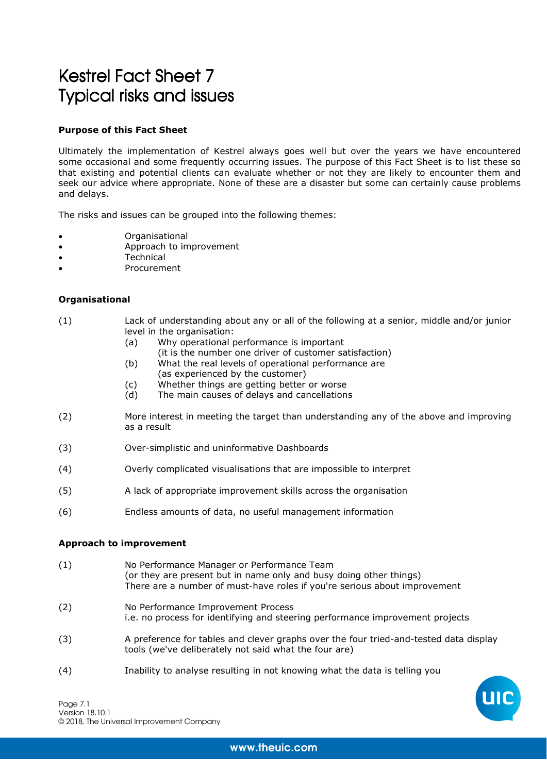# Kestrel Fact Sheet 7 **Typical risks and issues**

# **Purpose of this Fact Sheet**

Ultimately the implementation of Kestrel always goes well but over the years we have encountered some occasional and some frequently occurring issues. The purpose of this Fact Sheet is to list these so that existing and potential clients can evaluate whether or not they are likely to encounter them and seek our advice where appropriate. None of these are a disaster but some can certainly cause problems and delays.

The risks and issues can be grouped into the following themes:

- Organisational
- Approach to improvement
- **Technical**
- **Procurement**

## **Organisational**

- (1) Lack of understanding about any or all of the following at a senior, middle and/or junior level in the organisation:
	- (a) Why operational performance is important
	- (it is the number one driver of customer satisfaction)
	- (b) What the real levels of operational performance are
		- (as experienced by the customer)
	- (c) Whether things are getting better or worse
	- (d) The main causes of delays and cancellations
- (2) More interest in meeting the target than understanding any of the above and improving as a result
- (3) Over-simplistic and uninformative Dashboards
- (4) Overly complicated visualisations that are impossible to interpret
- (5) A lack of appropriate improvement skills across the organisation
- (6) Endless amounts of data, no useful management information

#### **Approach to improvement**

- (1) No Performance Manager or Performance Team (or they are present but in name only and busy doing other things) There are a number of must-have roles if you're serious about improvement
- (2) No Performance Improvement Process i.e. no process for identifying and steering performance improvement projects
- (3) A preference for tables and clever graphs over the four tried-and-tested data display tools (we've deliberately not said what the four are)
- (4) Inability to analyse resulting in not knowing what the data is telling you

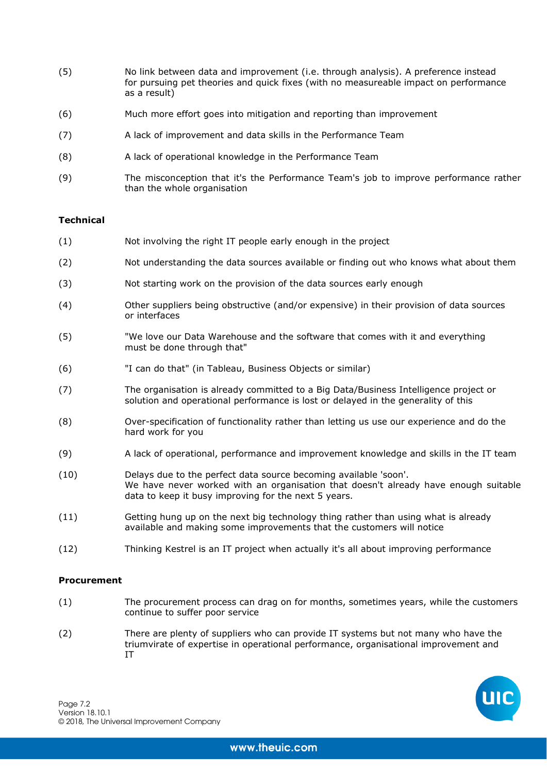- (5) No link between data and improvement (i.e. through analysis). A preference instead for pursuing pet theories and quick fixes (with no measureable impact on performance as a result)
- (6) Much more effort goes into mitigation and reporting than improvement
- (7) A lack of improvement and data skills in the Performance Team
- (8) A lack of operational knowledge in the Performance Team
- (9) The misconception that it's the Performance Team's job to improve performance rather than the whole organisation

## **Technical**

- (1) Not involving the right IT people early enough in the project
- (2) Not understanding the data sources available or finding out who knows what about them
- (3) Not starting work on the provision of the data sources early enough
- (4) Other suppliers being obstructive (and/or expensive) in their provision of data sources or interfaces
- (5) "We love our Data Warehouse and the software that comes with it and everything must be done through that"
- (6) "I can do that" (in Tableau, Business Objects or similar)
- (7) The organisation is already committed to a Big Data/Business Intelligence project or solution and operational performance is lost or delayed in the generality of this
- (8) Over-specification of functionality rather than letting us use our experience and do the hard work for you
- (9) A lack of operational, performance and improvement knowledge and skills in the IT team
- (10) Delays due to the perfect data source becoming available 'soon'. We have never worked with an organisation that doesn't already have enough suitable data to keep it busy improving for the next 5 years.
- (11) Getting hung up on the next big technology thing rather than using what is already available and making some improvements that the customers will notice
- (12) Thinking Kestrel is an IT project when actually it's all about improving performance

#### **Procurement**

- (1) The procurement process can drag on for months, sometimes years, while the customers continue to suffer poor service
- (2) There are plenty of suppliers who can provide IT systems but not many who have the triumvirate of expertise in operational performance, organisational improvement and IT